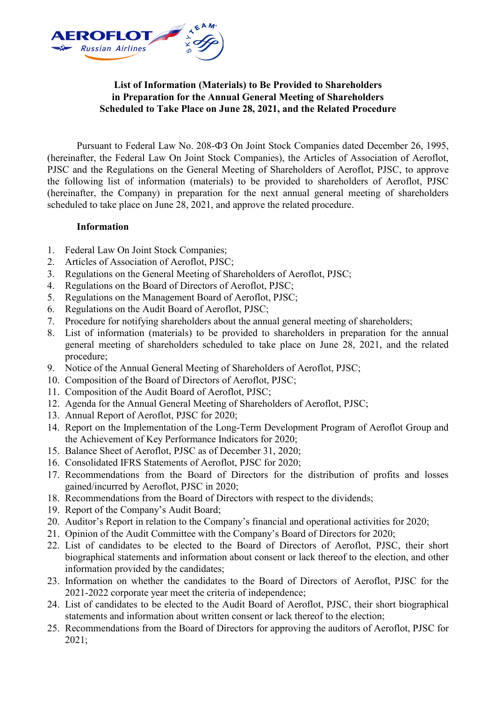

## **List of Information (Materials) to Be Provided to Shareholders in Preparation for the Annual General Meeting of Shareholders Scheduled to Take Place on June 28, 2021, and the Related Procedure**

Pursuant to Federal Law No. 208-ФЗ On Joint Stock Companies dated December 26, 1995, (hereinafter, the Federal Law On Joint Stock Companies), the Articles of Association of Aeroflot, PJSC and the Regulations on the General Meeting of Shareholders of Aeroflot, PJSC, to approve the following list of information (materials) to be provided to shareholders of Aeroflot, PJSC (hereinafter, the Company) in preparation for the next annual general meeting of shareholders scheduled to take place on June 28, 2021, and approve the related procedure.

## **Information**

- 1. Federal Law On Joint Stock Companies;
- 2. Articles of Association of Aeroflot, PJSC;
- 3. Regulations on the General Meeting of Shareholders of Aeroflot, PJSC;
- 4. Regulations on the Board of Directors of Aeroflot, PJSC;
- 5. Regulations on the Management Board of Aeroflot, PJSC;
- 6. Regulations on the Audit Board of Aeroflot, PJSC;
- 7. Procedure for notifying shareholders about the annual general meeting of shareholders;
- 8. List of information (materials) to be provided to shareholders in preparation for the annual general meeting of shareholders scheduled to take place on June 28, 2021, and the related procedure;
- 9. Notice of the Annual General Meeting of Shareholders of Aeroflot, PJSC;
- 10. Composition of the Board of Directors of Aeroflot, PJSC;
- 11. Composition of the Audit Board of Aeroflot, PJSC;
- 12. Agenda for the Annual General Meeting of Shareholders of Aeroflot, PJSC;
- 13. Annual Report of Aeroflot, PJSC for 2020;
- 14. Report on the Implementation of the Long-Term Development Program of Aeroflot Group and the Achievement of Key Performance Indicators for 2020;
- 15. Balance Sheet of Aeroflot, PJSC as of December 31, 2020;
- 16. Consolidated IFRS Statements of Aeroflot, PJSC for 2020;
- 17. Recommendations from the Board of Directors for the distribution of profits and losses gained/incurred by Aeroflot, PJSC in 2020;
- 18. Recommendations from the Board of Directors with respect to the dividends;
- 19. Report of the Company's Audit Board;
- 20. Auditor's Report in relation to the Company's financial and operational activities for 2020;
- 21. Opinion of the Audit Committee with the Company's Board of Directors for 2020;
- 22. List of candidates to be elected to the Board of Directors of Aeroflot, PJSC, their short biographical statements and information about consent or lack thereof to the election, and other information provided by the candidates;
- 23. Information on whether the candidates to the Board of Directors of Aeroflot, PJSC for the 2021-2022 corporate year meet the criteria of independence;
- 24. List of candidates to be elected to the Audit Board of Aeroflot, PJSC, their short biographical statements and information about written consent or lack thereof to the election;
- 25. Recommendations from the Board of Directors for approving the auditors of Aeroflot, PJSC for 2021;